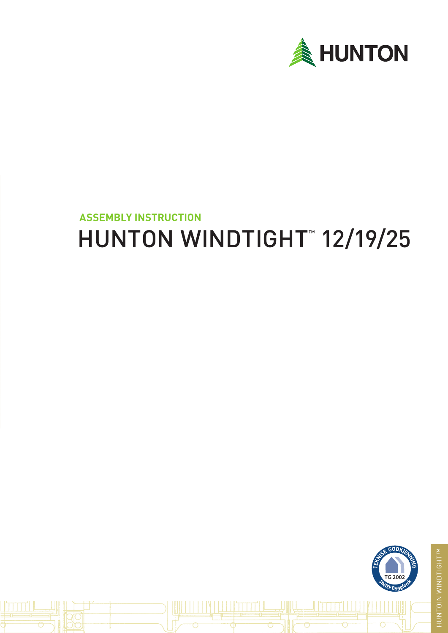

# HUNTON WINDTIGHT™ 12/19/25 **ASSEMBLY INSTRUCTION**

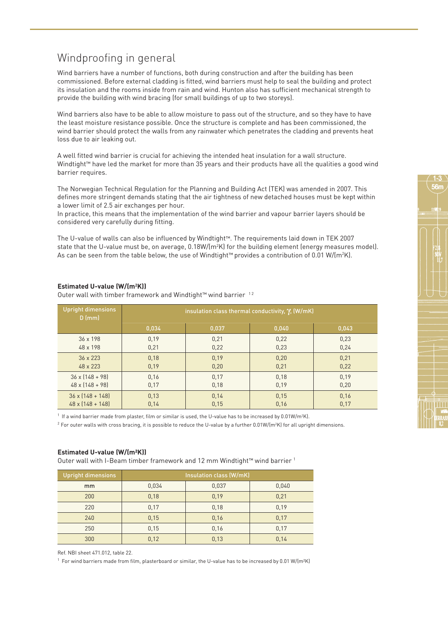# Windproofing in general

Wind barriers have a number of functions, both during construction and after the building has been commissioned. Before external cladding is fitted, wind barriers must help to seal the building and protect its insulation and the rooms inside from rain and wind. Hunton also has sufficient mechanical strength to provide the building with wind bracing (for small buildings of up to two storeys).

Wind barriers also have to be able to allow moisture to pass out of the structure, and so they have to have the least moisture resistance possible. Once the structure is complete and has been commissioned, the wind barrier should protect the walls from any rainwater which penetrates the cladding and prevents heat loss due to air leaking out.

A well fitted wind barrier is crucial for achieving the intended heat insulation for a wall structure. Windtight™ have led the market for more than 35 years and their products have all the qualities a good wind barrier requires.

The Norwegian Technical Regulation for the Planning and Building Act (TEK) was amended in 2007. This defines more stringent demands stating that the air tightness of new detached houses must be kept within a lower limit of 2.5 air exchanges per hour.

In practice, this means that the implementation of the wind barrier and vapour barrier layers should be considered very carefully during fitting.

The U-value of walls can also be influenced by Windtight™. The requirements laid down in TEK 2007 state that the U-value must be, on average,  $0.18W/(m^2K)$  for the building element (energy measures model). As can be seen from the table below, the use of Windtight™ provides a contribution of 0.01 W/(m²K).

| <b>Upright dimensions</b><br>$D$ (mm) | insulation class thermal conductivity, $\gamma$ , (W/mK) |       |       |       |
|---------------------------------------|----------------------------------------------------------|-------|-------|-------|
|                                       | 0,034                                                    | 0,037 | 0,040 | 0,043 |
| $36 \times 198$                       | 0,19                                                     | 0,21  | 0,22  | 0,23  |
| 48 x 198                              | 0,21                                                     | 0,22  | 0,23  | 0,24  |
| $36 \times 223$                       | 0,18                                                     | 0,19  | 0,20  | 0,21  |
| 48 x 223                              | 0,19                                                     | 0,20  | 0,21  | 0,22  |
| $36 \times (148 + 98)$                | 0,16                                                     | 0,17  | 0,18  | 0,19  |
| $48 \times [148 + 98]$                | 0,17                                                     | 0,18  | 0,19  | 0,20  |
| $36 \times [148 + 148]$               | 0,13                                                     | 0,14  | 0,15  | 0,16  |
| $48 \times (148 + 148)$               | 0,14                                                     | 0,15  | 0,16  | 0,17  |

### **Estimated U-value (W/(m2 K))**

Outer wall with timber framework and Windtight™ wind barrier<sup>12</sup>

 $1$  If a wind barrier made from plaster, film or similar is used, the U-value has to be increased by 0.01W/m<sup>2</sup>K).

 $^2$  For outer walls with cross bracing, it is possible to reduce the U-value by a further 0.01W/(m $^2$ K) for all upright dimensions.

#### **Estimated U-value (W/(m²K))**

Outer wall with I-Beam timber framework and 12 mm Windtight™ wind barrier 1

| <b>Upright dimensions</b> | Insulation class (W/mK) |       |       |  |
|---------------------------|-------------------------|-------|-------|--|
| <sub>mm</sub>             | 0,034                   | 0,037 | 0,040 |  |
| 200                       | 0,18                    | 0,19  | 0,21  |  |
| 220                       | 0.17                    | 0,18  | 0,19  |  |
| 240                       | 0.15                    | 0,16  | 0,17  |  |
| 250                       | 0,15                    | 0,16  | 0,17  |  |
| 300                       | 0,12                    | 0,13  | 0,14  |  |

Ref. NBI sheet 471.012, table 22.

1 For wind barriers made from film, plasterboard or similar, the U-value has to be increased by 0.01 W/(m²K)

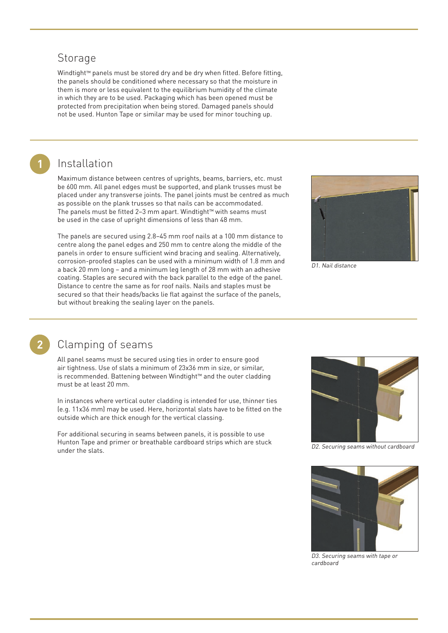## **Storage**

Windtight™ panels must be stored dry and be dry when fitted. Before fitting, the panels should be conditioned where necessary so that the moisture in them is more or less equivalent to the equilibrium humidity of the climate in which they are to be used. Packaging which has been opened must be protected from precipitation when being stored. Damaged panels should not be used. Hunton Tape or similar may be used for minor touching up.

# Installation

Maximum distance between centres of uprights, beams, barriers, etc. must be 600 mm. All panel edges must be supported, and plank trusses must be placed under any transverse joints. The panel joints must be centred as much as possible on the plank trusses so that nails can be accommodated. The panels must be fitted 2–3 mm apart. Windtight™ with seams must be used in the case of upright dimensions of less than 48 mm.

The panels are secured using 2.8–45 mm roof nails at a 100 mm distance to centre along the panel edges and 250 mm to centre along the middle of the panels in order to ensure sufficient wind bracing and sealing. Alternatively, corrosion-proofed staples can be used with a minimum width of 1.8 mm and a back 20 mm long – and a minimum leg length of 28 mm with an adhesive coating. Staples are secured with the back parallel to the edge of the panel. Distance to centre the same as for roof nails. Nails and staples must be secured so that their heads/backs lie flat against the surface of the panels, but without breaking the sealing layer on the panels.



D1. Nail distance



**1**

# Clamping of seams

All panel seams must be secured using ties in order to ensure good air tightness. Use of slats a minimum of 23x36 mm in size, or similar, is recommended. Battening between Windtight™ and the outer cladding must be at least 20 mm.

In instances where vertical outer cladding is intended for use, thinner ties (e.g. 11x36 mm) may be used. Here, horizontal slats have to be fitted on the outside which are thick enough for the vertical classing.

For additional securing in seams between panels, it is possible to use Hunton Tape and primer or breathable cardboard strips which are stuck under the slats.



D2. Securing seams without cardboard



D3. Securing seams with tape or cardboard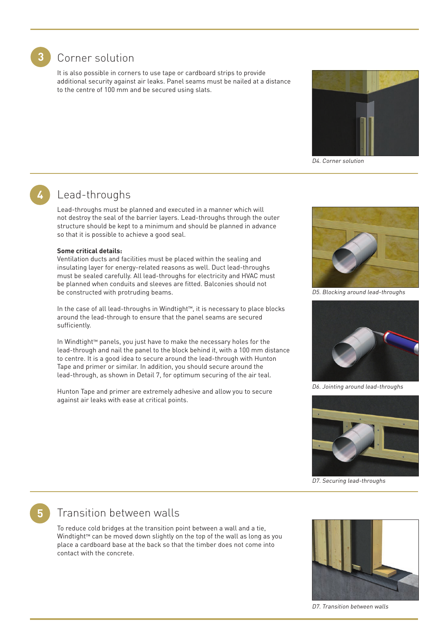

**4**

### **3** Corner solution

It is also possible in corners to use tape or cardboard strips to provide additional security against air leaks. Panel seams must be nailed at a distance to the centre of 100 mm and be secured using slats.



D4. Corner solution

# Lead-throughs

Lead-throughs must be planned and executed in a manner which will not destroy the seal of the barrier layers. Lead-throughs through the outer structure should be kept to a minimum and should be planned in advance so that it is possible to achieve a good seal.

#### **Some critical details:**

Ventilation ducts and facilities must be placed within the sealing and insulating layer for energy-related reasons as well. Duct lead-throughs must be sealed carefully. All lead-throughs for electricity and HVAC must be planned when conduits and sleeves are fitted. Balconies should not be constructed with protruding beams.

In the case of all lead-throughs in Windtight™, it is necessary to place blocks around the lead-through to ensure that the panel seams are secured sufficiently.

In Windtight™ panels, you just have to make the necessary holes for the lead-through and nail the panel to the block behind it, with a 100 mm distance to centre. It is a good idea to secure around the lead-through with Hunton Tape and primer or similar. In addition, you should secure around the lead-through, as shown in Detail 7, for optimum securing of the air teal.

Hunton Tape and primer are extremely adhesive and allow you to secure against air leaks with ease at critical points.



D5. Blocking around lead-throughs



D6. Jointing around lead-throughs



D7. Securing lead-throughs

# Transition between walls

**5**

To reduce cold bridges at the transition point between a wall and a tie, Windtight™ can be moved down slightly on the top of the wall as long as you place a cardboard base at the back so that the timber does not come into contact with the concrete.



D7. Transition between walls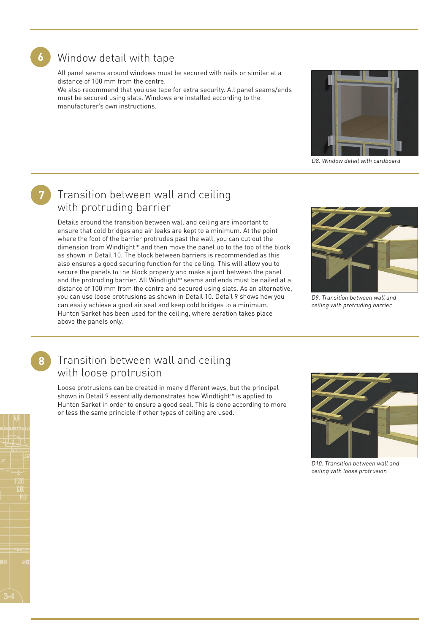

## Window detail with tape

All panel seams around windows must be secured with nails or similar at a distance of 100 mm from the centre.

We also recommend that you use tape for extra security. All panel seams/ends must be secured using slats. Windows are installed according to the manufacturer's own instructions.



D8. Window detail with cardboard

# **7**

# Transition between wall and ceiling with protruding barrier

Details around the transition between wall and ceiling are important to ensure that cold bridges and air leaks are kept to a minimum. At the point where the foot of the barrier protrudes past the wall, you can cut out the dimension from Windtight™ and then move the panel up to the top of the block as shown in Detail 10. The block between barriers is recommended as this also ensures a good securing function for the ceiling. This will allow you to secure the panels to the block properly and make a joint between the panel and the protruding barrier. All Windtight™ seams and ends must be nailed at a distance of 100 mm from the centre and secured using slats. As an alternative, you can use loose protrusions as shown in Detail 10. Detail 9 shows how you can easily achieve a good air seal and keep cold bridges to a minimum. Hunton Sarket has been used for the ceiling, where aeration takes place above the panels only.



D9. Transition between wall and ceiling with protruding barrier

# **8**

# Transition between wall and ceiling with loose protrusion

Loose protrusions can be created in many different ways, but the principal shown in Detail 9 essentially demonstrates how Windtight™ is applied to Hunton Sarket in order to ensure a good seal. This is done according to more or less the same principle if other types of ceiling are used.



D10. Transition between wall and ceiling with loose protrusion